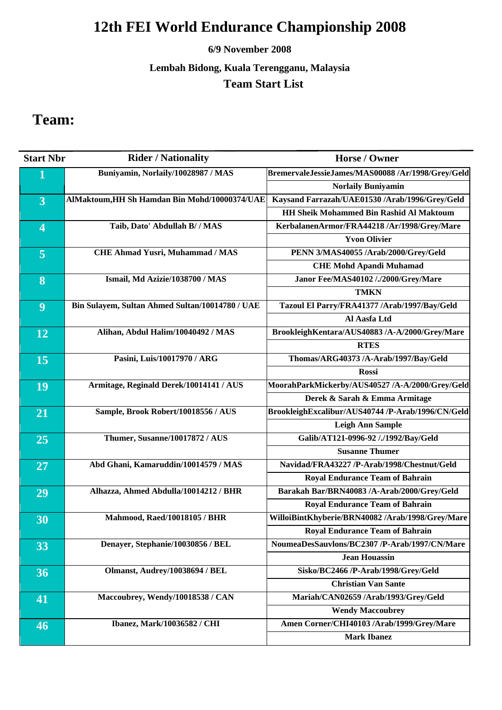### **6/9 November 2008**

### **Lembah Bidong, Kuala Terengganu, Malaysia Team Start List**

## **Team:**

| <b>Start Nbr</b>        | <b>Rider / Nationality</b>                      | <b>Horse / Owner</b>                              |
|-------------------------|-------------------------------------------------|---------------------------------------------------|
| 1                       | Buniyamin, Norlaily/10028987 / MAS              | BremervaleJessieJames/MAS00088 /Ar/1998/Grey/Geld |
|                         |                                                 | <b>Norlaily Buniyamin</b>                         |
| 3                       | AlMaktoum, HH Sh Hamdan Bin Mohd/10000374/UAE   | Kaysand Farrazah/UAE01530 /Arab/1996/Grey/Geld    |
|                         |                                                 | <b>HH Sheik Mohammed Bin Rashid Al Maktoum</b>    |
| $\overline{\mathbf{4}}$ | Taib, Dato' Abdullah B/ / MAS                   | KerbalanenArmor/FRA44218 /Ar/1998/Grey/Mare       |
|                         |                                                 | <b>Yvon Olivier</b>                               |
| 5                       | <b>CHE Ahmad Yusri, Muhammad / MAS</b>          | PENN 3/MAS40055 /Arab/2000/Grey/Geld              |
|                         |                                                 | <b>CHE Mohd Apandi Muhamad</b>                    |
| 8                       | Ismail, Md Azizie/1038700 / MAS                 | Janor Fee/MAS40102 /./2000/Grey/Mare              |
|                         |                                                 | <b>TMKN</b>                                       |
| 9                       | Bin Sulayem, Sultan Ahmed Sultan/10014780 / UAE | Tazoul El Parry/FRA41377 /Arab/1997/Bay/Geld      |
|                         |                                                 | Al Aasfa Ltd                                      |
| 12                      | Alihan, Abdul Halim/10040492 / MAS              | BrookleighKentara/AUS40883 /A-A/2000/Grey/Mare    |
|                         |                                                 | <b>RTES</b>                                       |
| 15                      | Pasini, Luis/10017970 / ARG                     | Thomas/ARG40373 /A-Arab/1997/Bay/Geld             |
|                         |                                                 | <b>Rossi</b>                                      |
| 19                      | Armitage, Reginald Derek/10014141 / AUS         | MoorahParkMickerby/AUS40527 /A-A/2000/Grey/Geld   |
|                         |                                                 | Derek & Sarah & Emma Armitage                     |
| 21                      | Sample, Brook Robert/10018556 / AUS             | BrookleighExcalibur/AUS40744 /P-Arab/1996/CN/Geld |
|                         |                                                 | <b>Leigh Ann Sample</b>                           |
| 25                      | Thumer, Susanne/10017872 / AUS                  | Galib/AT121-0996-92 /./1992/Bay/Geld              |
|                         |                                                 | <b>Susanne Thumer</b>                             |
| 27                      | Abd Ghani, Kamaruddin/10014579 / MAS            | Navidad/FRA43227 /P-Arab/1998/Chestnut/Geld       |
|                         |                                                 | <b>Royal Endurance Team of Bahrain</b>            |
| 29                      | Alhazza, Ahmed Abdulla/10014212 / BHR           | Barakah Bar/BRN40083 /A-Arab/2000/Grey/Geld       |
|                         |                                                 | <b>Royal Endurance Team of Bahrain</b>            |
| 30                      | Mahmood, Raed/10018105 / BHR                    | WilloiBintKhyberie/BRN40082 /Arab/1998/Grey/Mare  |
|                         |                                                 | <b>Royal Endurance Team of Bahrain</b>            |
| 33                      | Denayer, Stephanie/10030856 / BEL               | NoumeaDesSauvlons/BC2307 /P-Arab/1997/CN/Mare     |
|                         |                                                 | <b>Jean Houassin</b>                              |
| 36                      | Olmanst, Audrey/10038694 / BEL                  | Sisko/BC2466 /P-Arab/1998/Grey/Geld               |
|                         |                                                 | <b>Christian Van Sante</b>                        |
| 41                      | Maccoubrey, Wendy/10018538 / CAN                | Mariah/CAN02659 /Arab/1993/Grey/Geld              |
|                         |                                                 | <b>Wendy Maccoubrey</b>                           |
| 46                      | Ibanez, Mark/10036582 / CHI                     | Amen Corner/CHI40103 /Arab/1999/Grey/Mare         |
|                         |                                                 | <b>Mark Ibanez</b>                                |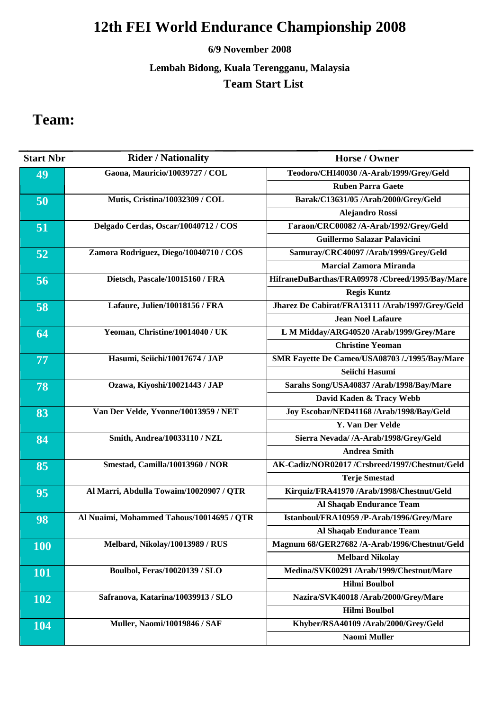### **6/9 November 2008**

### **Lembah Bidong, Kuala Terengganu, Malaysia Team Start List**

## **Team:**

| <b>Start Nbr</b> | <b>Rider / Nationality</b>                | Horse / Owner                                   |
|------------------|-------------------------------------------|-------------------------------------------------|
| 49               | Gaona, Mauricio/10039727 / COL            | Teodoro/CHI40030 /A-Arab/1999/Grey/Geld         |
|                  |                                           | <b>Ruben Parra Gaete</b>                        |
| 50               | Mutis, Cristina/10032309 / COL            | Barak/C13631/05 /Arab/2000/Grey/Geld            |
|                  |                                           | <b>Alejandro Rossi</b>                          |
| 51               | Delgado Cerdas, Oscar/10040712 / COS      | Faraon/CRC00082 /A-Arab/1992/Grey/Geld          |
|                  |                                           | Guillermo Salazar Palavicini                    |
| 52               | Zamora Rodriguez, Diego/10040710 / COS    | Samuray/CRC40097 /Arab/1999/Grey/Geld           |
|                  |                                           | <b>Marcial Zamora Miranda</b>                   |
| 56               | Dietsch, Pascale/10015160 / FRA           | HifraneDuBarthas/FRA09978 /Cbreed/1995/Bay/Mare |
|                  |                                           | <b>Regis Kuntz</b>                              |
| 58               | Lafaure, Julien/10018156 / FRA            | Jharez De Cabirat/FRA13111 /Arab/1997/Grey/Geld |
|                  |                                           | <b>Jean Noel Lafaure</b>                        |
| 64               | Yeoman, Christine/10014040 / UK           | L M Midday/ARG40520 /Arab/1999/Grey/Mare        |
|                  |                                           | <b>Christine Yeoman</b>                         |
| 77               | Hasumi, Seiichi/10017674 / JAP            | SMR Fayette De Cameo/USA08703 /./1995/Bay/Mare  |
|                  |                                           | Seiichi Hasumi                                  |
| 78               | Ozawa, Kiyoshi/10021443 / JAP             | Sarahs Song/USA40837 /Arab/1998/Bay/Mare        |
|                  |                                           | David Kaden & Tracy Webb                        |
| 83               | Van Der Velde, Yvonne/10013959 / NET      | Joy Escobar/NED41168 /Arab/1998/Bay/Geld        |
|                  |                                           | <b>Y. Van Der Velde</b>                         |
| 84               | Smith, Andrea/10033110 / NZL              | Sierra Nevada/ /A-Arab/1998/Grey/Geld           |
|                  |                                           | <b>Andrea Smith</b>                             |
| 85               | Smestad, Camilla/10013960 / NOR           | AK-Cadiz/NOR02017 /Crsbreed/1997/Chestnut/Geld  |
|                  |                                           | <b>Terje Smestad</b>                            |
| 95               | Al Marri, Abdulla Towaim/10020907 / QTR   | Kirquiz/FRA41970 /Arab/1998/Chestnut/Geld       |
|                  |                                           | Al Shaqab Endurance Team                        |
| 98               | Al Nuaimi, Mohammed Tahous/10014695 / QTR | Istanboul/FRA10959 /P-Arab/1996/Grey/Mare       |
|                  |                                           | Al Shaqab Endurance Team                        |
| <b>100</b>       | Melbard, Nikolay/10013989 / RUS           | Magnum 68/GER27682 /A-Arab/1996/Chestnut/Geld   |
|                  |                                           | <b>Melbard Nikolay</b>                          |
| <b>101</b>       | <b>Boulbol, Feras/10020139 / SLO</b>      | Medina/SVK00291 /Arab/1999/Chestnut/Mare        |
|                  |                                           | <b>Hilmi Boulbol</b>                            |
| <b>102</b>       | Safranova, Katarina/10039913 / SLO        | Nazira/SVK40018 /Arab/2000/Grey/Mare            |
|                  |                                           | <b>Hilmi Boulbol</b>                            |
| 104              | <b>Muller, Naomi/10019846 / SAF</b>       | Khyber/RSA40109 /Arab/2000/Grey/Geld            |
|                  |                                           | <b>Naomi Muller</b>                             |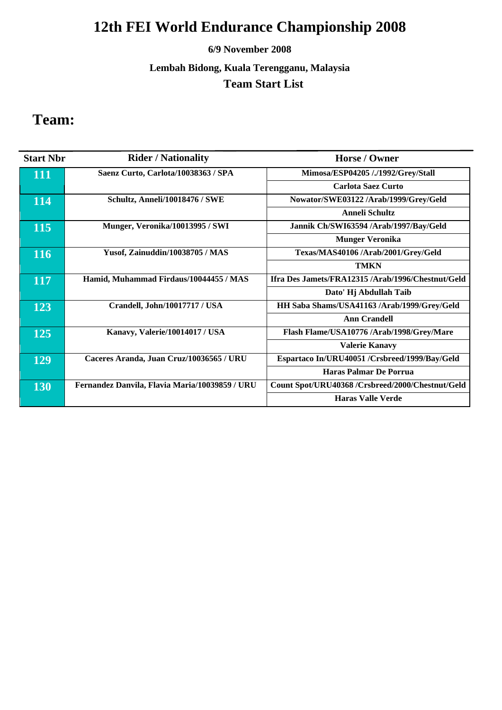### **6/9 November 2008**

**Lembah Bidong, Kuala Terengganu, Malaysia Team Start List** 

## **Team:**

| <b>Start Nbr</b> | <b>Rider / Nationality</b>                     | Horse / Owner                                    |
|------------------|------------------------------------------------|--------------------------------------------------|
| 111              | Saenz Curto, Carlota/10038363 / SPA            | Mimosa/ESP04205 /./1992/Grey/Stall               |
|                  |                                                | <b>Carlota Saez Curto</b>                        |
| 114              | Schultz, Anneli/10018476 / SWE                 | Nowator/SWE03122 /Arab/1999/Grey/Geld            |
|                  |                                                | <b>Anneli Schultz</b>                            |
| 115              | Munger, Veronika/10013995 / SWI                | Jannik Ch/SWI63594 /Arab/1997/Bay/Geld           |
|                  |                                                | <b>Munger Veronika</b>                           |
| <b>116</b>       | Yusof, Zainuddin/10038705 / MAS                | Texas/MAS40106 /Arab/2001/Grey/Geld              |
|                  |                                                | <b>TMKN</b>                                      |
| 117              | Hamid, Muhammad Firdaus/10044455 / MAS         | Ifra Des Jamets/FRA12315/Arab/1996/Chestnut/Geld |
|                  |                                                | Dato' Hj Abdullah Taib                           |
| 123              | Crandell, John/10017717 / USA                  | HH Saba Shams/USA41163 /Arab/1999/Grey/Geld      |
|                  |                                                | <b>Ann Crandell</b>                              |
| 125              | Kanavy, Valerie/10014017 / USA                 | Flash Flame/USA10776 /Arab/1998/Grey/Mare        |
|                  |                                                | <b>Valerie Kanavy</b>                            |
| 129              | Caceres Aranda, Juan Cruz/10036565 / URU       | Espartaco In/URU40051 /Crsbreed/1999/Bay/Geld    |
|                  |                                                | Haras Palmar De Porrua                           |
| 130              | Fernandez Danvila, Flavia Maria/10039859 / URU | Count Spot/URU40368 /Crsbreed/2000/Chestnut/Geld |
|                  |                                                | <b>Haras Valle Verde</b>                         |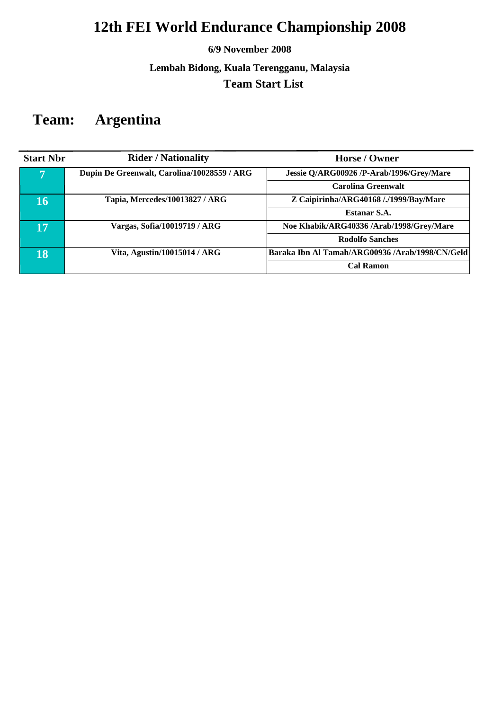### **6/9 November 2008**

**Lembah Bidong, Kuala Terengganu, Malaysia Team Start List** 

## **Team: Argentina**

| <b>Start Nbr</b> | <b>Rider / Nationality</b>                  | Horse / Owner                                   |
|------------------|---------------------------------------------|-------------------------------------------------|
| 7                | Dupin De Greenwalt, Carolina/10028559 / ARG | Jessie Q/ARG00926 /P-Arab/1996/Grey/Mare        |
|                  |                                             | Carolina Greenwalt                              |
| 16               | Tapia, Mercedes/10013827 / ARG              | Z Caipirinha/ARG40168 /./1999/Bay/Mare          |
|                  |                                             | Estanar S.A.                                    |
| 17               | Vargas, Sofia/10019719 / ARG                | Noe Khabik/ARG40336 /Arab/1998/Grey/Mare        |
|                  |                                             | <b>Rodolfo Sanches</b>                          |
| 18               | Vita, Agustin/10015014 / ARG                | Baraka Ibn Al Tamah/ARG00936 /Arab/1998/CN/Geld |
|                  |                                             | <b>Cal Ramon</b>                                |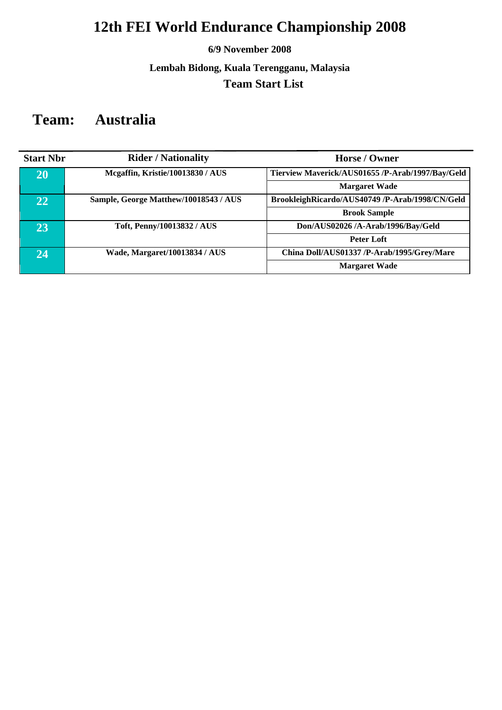### **6/9 November 2008**

### **Lembah Bidong, Kuala Terengganu, Malaysia Team Start List**

## **Team: Australia**

| <b>Start Nbr</b> | <b>Rider / Nationality</b>            | Horse / Owner                                    |
|------------------|---------------------------------------|--------------------------------------------------|
| 20               | Mcgaffin, Kristie/10013830 / AUS      | Tierview Maverick/AUS01655 /P-Arab/1997/Bay/Geld |
|                  |                                       | <b>Margaret Wade</b>                             |
| 22               | Sample, George Matthew/10018543 / AUS | BrookleighRicardo/AUS40749 /P-Arab/1998/CN/Geld  |
|                  |                                       | <b>Brook Sample</b>                              |
| 23               | Toft, Penny/10013832 / AUS            | Don/AUS02026 /A-Arab/1996/Bay/Geld               |
|                  |                                       | Peter Loft                                       |
| 24               | Wade, Margaret/10013834 / AUS         | China Doll/AUS01337 /P-Arab/1995/Grey/Mare       |
|                  |                                       | <b>Margaret Wade</b>                             |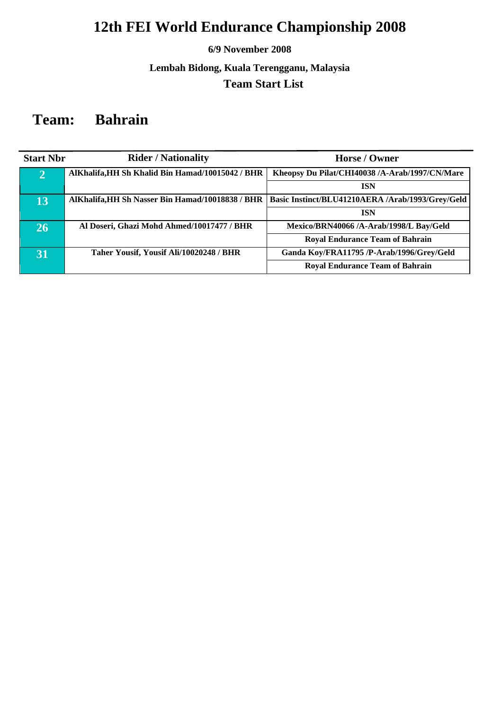### **6/9 November 2008**

### **Lembah Bidong, Kuala Terengganu, Malaysia Team Start List**

## **Team: Bahrain**

| <b>Start Nbr</b> | <b>Rider / Nationality</b>                       | Horse / Owner                                                                                       |
|------------------|--------------------------------------------------|-----------------------------------------------------------------------------------------------------|
| $\overline{2}$   | AlKhalifa, HH Sh Khalid Bin Hamad/10015042 / BHR | Kheopsy Du Pilat/CHI40038 /A-Arab/1997/CN/Mare                                                      |
|                  |                                                  | <b>ISN</b>                                                                                          |
| 13               |                                                  | AlKhalifa, HH Sh Nasser Bin Hamad/10018838 / BHR   Basic Instinct/BLU41210AERA /Arab/1993/Grey/Geld |
|                  |                                                  | <b>ISN</b>                                                                                          |
| 26               | Al Doseri, Ghazi Mohd Ahmed/10017477 / BHR       | Mexico/BRN40066 /A-Arab/1998/L Bay/Geld                                                             |
|                  |                                                  | <b>Royal Endurance Team of Bahrain</b>                                                              |
| 31               | Taher Yousif, Yousif Ali/10020248 / BHR          | Ganda Koy/FRA11795 /P-Arab/1996/Grey/Geld                                                           |
|                  |                                                  | <b>Royal Endurance Team of Bahrain</b>                                                              |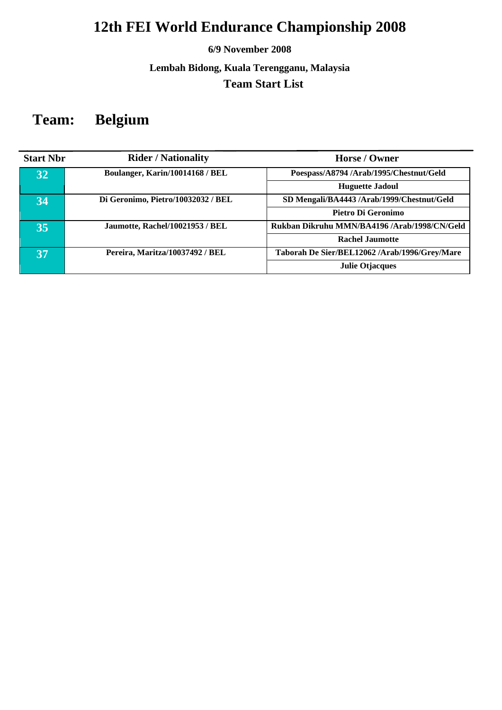### **6/9 November 2008**

**Lembah Bidong, Kuala Terengganu, Malaysia Team Start List** 

## **Team: Belgium**

| <b>Start Nbr</b> | <b>Rider / Nationality</b>         | Horse / Owner                                 |
|------------------|------------------------------------|-----------------------------------------------|
| 32               | Boulanger, Karin/10014168 / BEL    | Poespass/A8794/Arab/1995/Chestnut/Geld        |
|                  |                                    | <b>Huguette Jadoul</b>                        |
| 34               | Di Geronimo, Pietro/10032032 / BEL | SD Mengali/BA4443 /Arab/1999/Chestnut/Geld    |
|                  |                                    | Pietro Di Geronimo                            |
| 35               | Jaumotte, Rachel/10021953 / BEL    | Rukban Dikruhu MMN/BA4196 /Arab/1998/CN/Geld  |
|                  |                                    | <b>Rachel Jaumotte</b>                        |
| 37               | Pereira, Maritza/10037492 / BEL    | Taborah De Sier/BEL12062 /Arab/1996/Grey/Mare |
|                  |                                    | <b>Julie Otjacques</b>                        |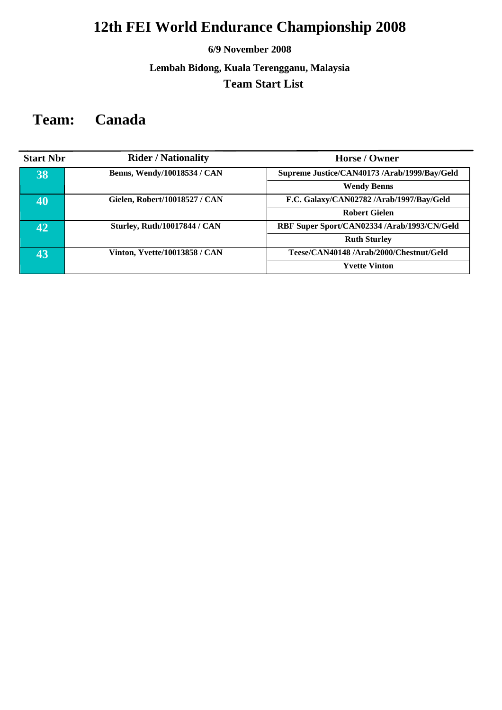### **6/9 November 2008**

### **Lembah Bidong, Kuala Terengganu, Malaysia Team Start List**

## **Team: Canada**

| <b>Start Nbr</b> | <b>Rider / Nationality</b>           | Horse / Owner                                |
|------------------|--------------------------------------|----------------------------------------------|
| 38               | Benns, Wendy/10018534 / CAN          | Supreme Justice/CAN40173 /Arab/1999/Bay/Geld |
|                  |                                      | <b>Wendy Benns</b>                           |
| $\overline{40}$  | Gielen, Robert/10018527 / CAN        | F.C. Galaxy/CAN02782 /Arab/1997/Bay/Geld     |
|                  |                                      | <b>Robert Gielen</b>                         |
| 42               | <b>Sturley, Ruth/10017844 / CAN</b>  | RBF Super Sport/CAN02334 /Arab/1993/CN/Geld  |
|                  |                                      | <b>Ruth Sturley</b>                          |
| 43               | <b>Vinton, Yvette/10013858 / CAN</b> | Teese/CAN40148/Arab/2000/Chestnut/Geld       |
|                  |                                      | <b>Yvette Vinton</b>                         |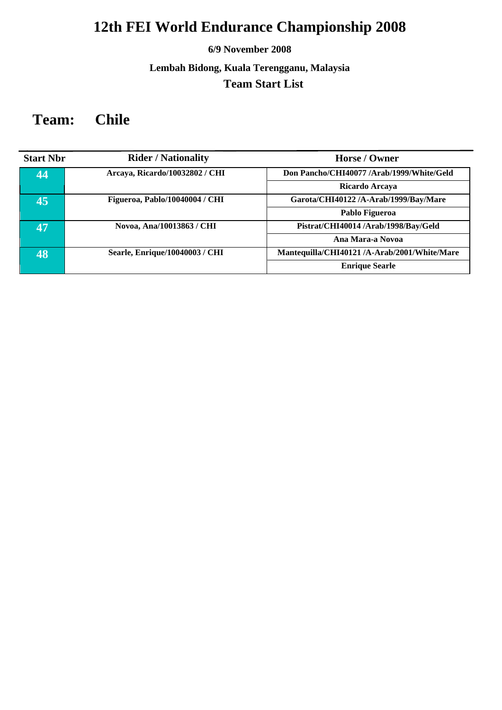### **6/9 November 2008**

### **Lembah Bidong, Kuala Terengganu, Malaysia Team Start List**

## **Team: Chile**

| <b>Start Nbr</b> | <b>Rider / Nationality</b>     | Horse / Owner                                |
|------------------|--------------------------------|----------------------------------------------|
| 44               | Arcaya, Ricardo/10032802 / CHI | Don Pancho/CHI40077/Arab/1999/White/Geld     |
|                  |                                | Ricardo Arcaya                               |
| 45               | Figueroa, Pablo/10040004 / CHI | Garota/CHI40122 /A-Arab/1999/Bay/Mare        |
|                  |                                | Pablo Figueroa                               |
| 47               | Novoa, Ana/10013863 / CHI      | Pistrat/CHI40014 /Arab/1998/Bay/Geld         |
|                  |                                | Ana Mara-a Novoa                             |
| 48               | Searle, Enrique/10040003 / CHI | Mantequilla/CHI40121 /A-Arab/2001/White/Mare |
|                  |                                | <b>Enrique Searle</b>                        |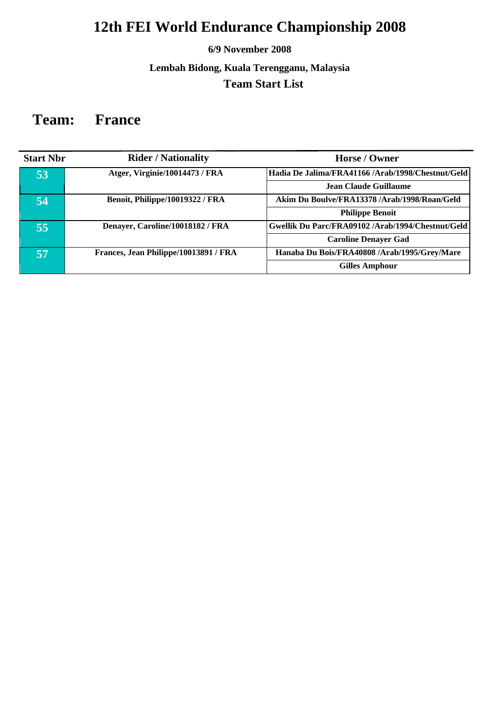### **6/9 November 2008**

### **Lembah Bidong, Kuala Terengganu, Malaysia Team Start List**

### **Team: France**

| <b>Start Nbr</b> | <b>Rider / Nationality</b>            | Horse / Owner                                     |
|------------------|---------------------------------------|---------------------------------------------------|
| 53               | Atger, Virginie/10014473 / FRA        | Hadia De Jalima/FRA41166 /Arab/1998/Chestnut/Geld |
|                  |                                       | <b>Jean Claude Guillaume</b>                      |
| 54               | Benoit, Philippe/10019322 / FRA       | Akim Du Boulve/FRA13378 /Arab/1998/Roan/Geld      |
|                  |                                       | <b>Philippe Benoit</b>                            |
| 55               | Denayer, Caroline/10018182 / FRA      | Gwellik Du Parc/FRA09102/Arab/1994/Chestnut/Geld  |
|                  |                                       | <b>Caroline Denayer Gad</b>                       |
| 57               | Frances, Jean Philippe/10013891 / FRA | Hanaba Du Bois/FRA40808 /Arab/1995/Grey/Mare      |
|                  |                                       | <b>Gilles Amphour</b>                             |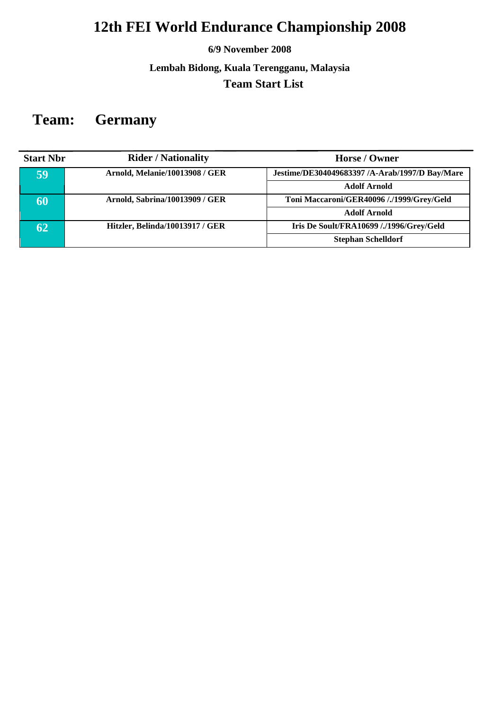### **6/9 November 2008**

**Lembah Bidong, Kuala Terengganu, Malaysia Team Start List** 

# **Team: Germany**

| <b>Start Nbr</b> | <b>Rider / Nationality</b>            | Horse / Owner                                  |
|------------------|---------------------------------------|------------------------------------------------|
| 59               | <b>Arnold, Melanie/10013908 / GER</b> | Jestime/DE304049683397 /A-Arab/1997/D Bay/Mare |
|                  |                                       | <b>Adolf Arnold</b>                            |
| 60               | Arnold, Sabrina/10013909 / GER        | Toni Maccaroni/GER40096 /./1999/Grey/Geld      |
|                  |                                       | <b>Adolf Arnold</b>                            |
| 62               | Hitzler, Belinda/10013917 / GER       | Iris De Soult/FRA10699 /./1996/Grey/Geld       |
|                  |                                       | <b>Stephan Schelldorf</b>                      |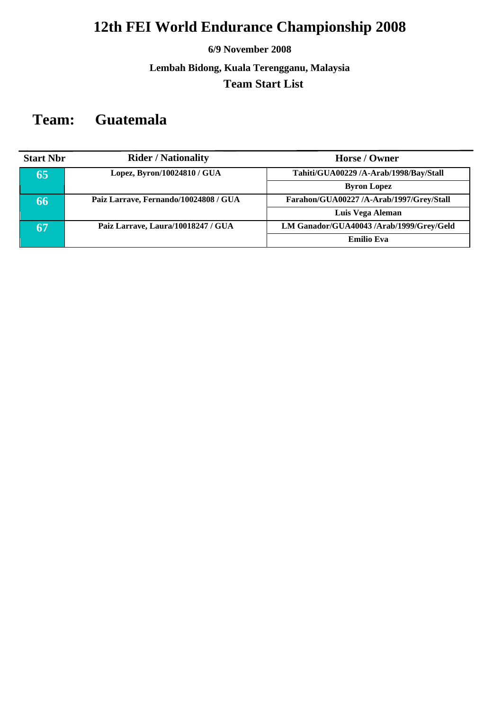### **6/9 November 2008**

**Lembah Bidong, Kuala Terengganu, Malaysia Team Start List** 

## **Team: Guatemala**

| <b>Start Nbr</b> | <b>Rider / Nationality</b>            | Horse / Owner                            |
|------------------|---------------------------------------|------------------------------------------|
| 65               | Lopez, Byron/10024810 / GUA           | Tahiti/GUA00229 /A-Arab/1998/Bay/Stall   |
|                  |                                       | <b>Byron Lopez</b>                       |
| 66               | Paiz Larrave, Fernando/10024808 / GUA | Farahon/GUA00227 /A-Arab/1997/Grey/Stall |
|                  |                                       | Luis Vega Aleman                         |
| 67               | Paiz Larrave, Laura/10018247 / GUA    | LM Ganador/GUA40043 /Arab/1999/Grey/Geld |
|                  |                                       | <b>Emilio Eva</b>                        |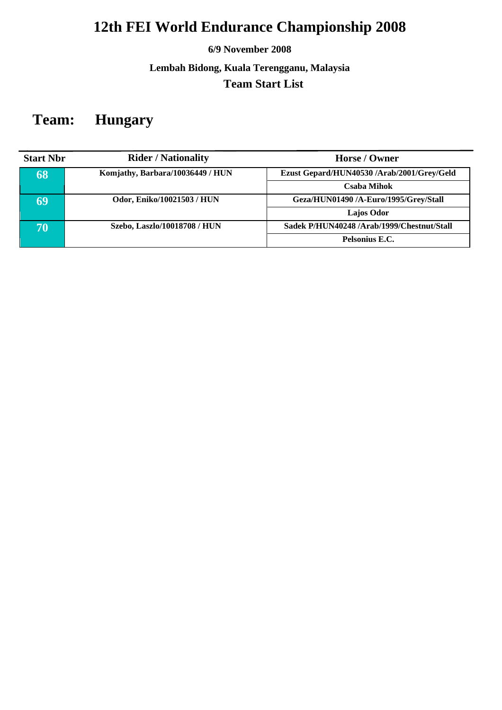### **6/9 November 2008**

**Lembah Bidong, Kuala Terengganu, Malaysia Team Start List** 

## **Team: Hungary**

| <b>Start Nbr</b> | <b>Rider / Nationality</b>       | Horse / Owner                              |
|------------------|----------------------------------|--------------------------------------------|
| 68               | Komjathy, Barbara/10036449 / HUN | Ezust Gepard/HUN40530 /Arab/2001/Grey/Geld |
|                  |                                  | <b>Csaba Mihok</b>                         |
| 69               | Odor, Eniko/10021503 / HUN       | Geza/HUN01490 /A-Euro/1995/Grey/Stall      |
|                  |                                  | <b>Lajos Odor</b>                          |
| 70               | Szebo, Laszlo/10018708 / HUN     | Sadek P/HUN40248 /Arab/1999/Chestnut/Stall |
|                  |                                  | Pelsonius E.C.                             |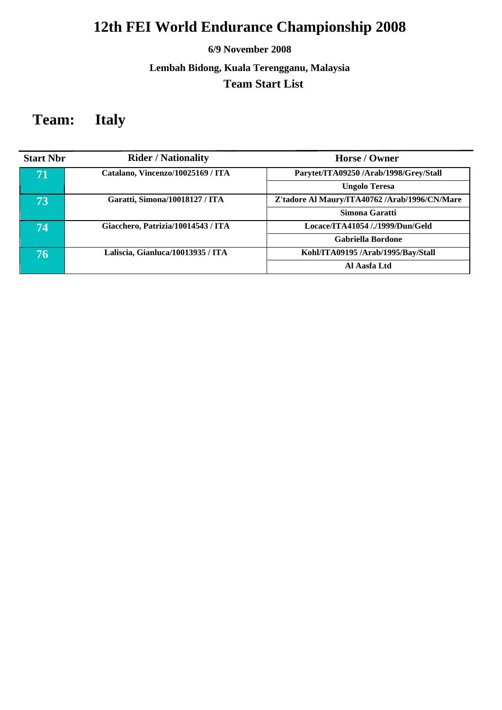### **6/9 November 2008**

### **Lembah Bidong, Kuala Terengganu, Malaysia Team Start List**

## **Team: Italy**

| <b>Start Nbr</b> | <b>Rider / Nationality</b>         | Horse / Owner                                 |
|------------------|------------------------------------|-----------------------------------------------|
| 71               | Catalano, Vincenzo/10025169 / ITA  | Parytet/ITA09250/Arab/1998/Grey/Stall         |
|                  |                                    | <b>Ungolo Teresa</b>                          |
| 73               | Garatti, Simona/10018127 / ITA     | Z'tadore Al Maury/ITA40762 /Arab/1996/CN/Mare |
|                  |                                    | Simona Garatti                                |
| 74               | Giacchero, Patrizia/10014543 / ITA | Locace/ITA41054 /./1999/Dun/Geld              |
|                  |                                    | <b>Gabriella Bordone</b>                      |
| 76               | Laliscia, Gianluca/10013935 / ITA  | Kohl/ITA09195/Arab/1995/Bay/Stall             |
|                  |                                    | Al Aasfa Ltd                                  |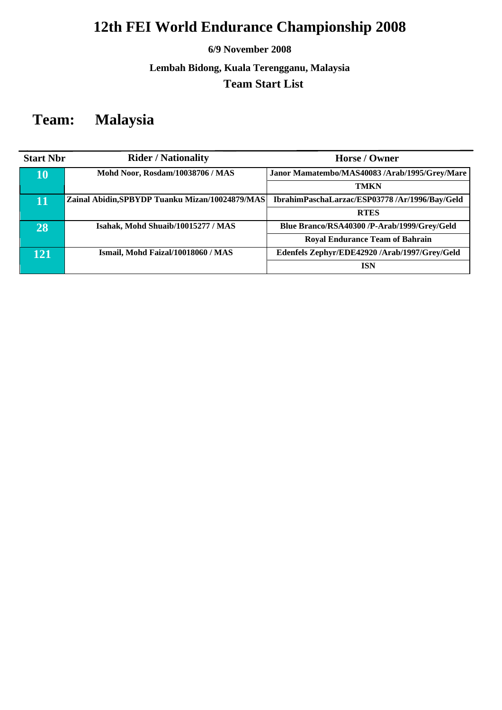### **6/9 November 2008**

### **Lembah Bidong, Kuala Terengganu, Malaysia Team Start List**

## **Team: Malaysia**

| <b>Start Nbr</b> | <b>Rider / Nationality</b>                      | Horse / Owner                                 |
|------------------|-------------------------------------------------|-----------------------------------------------|
| 10               | Mohd Noor, Rosdam/10038706 / MAS                | Janor Mamatembo/MAS40083 /Arab/1995/Grey/Mare |
|                  |                                                 | <b>TMKN</b>                                   |
| 11'              | Zainal Abidin, SPBYDP Tuanku Mizan/10024879/MAS | IbrahimPaschaLarzac/ESP03778/Ar/1996/Bay/Geld |
|                  |                                                 | <b>RTES</b>                                   |
| 28               | Isahak, Mohd Shuaib/10015277 / MAS              | Blue Branco/RSA40300 /P-Arab/1999/Grey/Geld   |
|                  |                                                 | <b>Royal Endurance Team of Bahrain</b>        |
| 121              | Ismail, Mohd Faizal/10018060 / MAS              | Edenfels Zephyr/EDE42920 /Arab/1997/Grey/Geld |
|                  |                                                 | <b>ISN</b>                                    |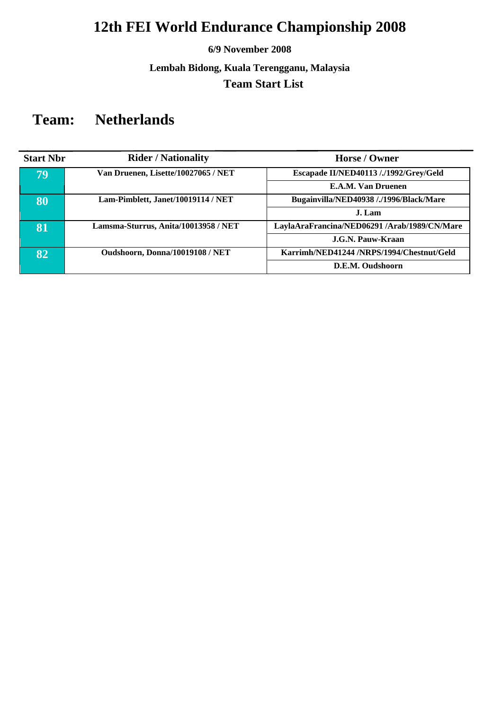### **6/9 November 2008**

**Lembah Bidong, Kuala Terengganu, Malaysia Team Start List** 

## **Team: Netherlands**

| <b>Start Nbr</b> | <b>Rider / Nationality</b>           | Horse / Owner                                |
|------------------|--------------------------------------|----------------------------------------------|
| 79               | Van Druenen, Lisette/10027065 / NET  | Escapade II/NED40113 /./1992/Grey/Geld       |
|                  |                                      | E.A.M. Van Druenen                           |
| 80               | Lam-Pimblett, Janet/10019114 / NET   | Bugainvilla/NED40938 /./1996/Black/Mare      |
|                  |                                      | J. Lam                                       |
| 81               | Lamsma-Sturrus, Anita/10013958 / NET | LaylaAraFrancina/NED06291 /Arab/1989/CN/Mare |
|                  |                                      | J.G.N. Pauw-Kraan                            |
| 82.              | Oudshoorn, Donna/10019108 / NET      | Karrimh/NED41244 /NRPS/1994/Chestnut/Geld    |
|                  |                                      | D.E.M. Oudshoorn                             |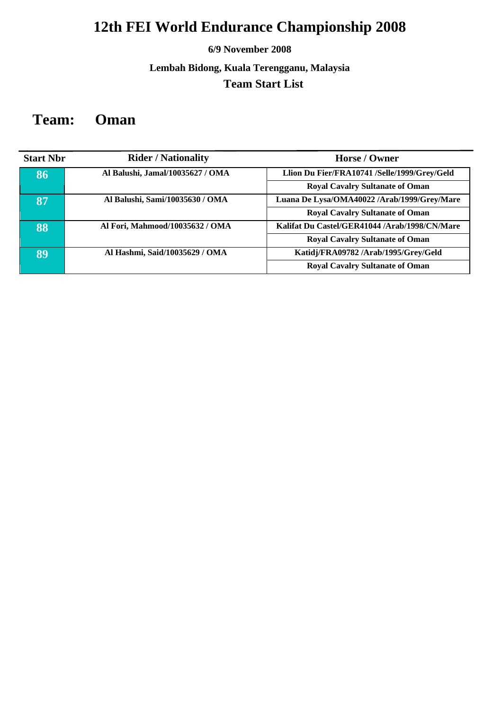### **6/9 November 2008**

### **Lembah Bidong, Kuala Terengganu, Malaysia Team Start List**

## **Team: Oman**

| <b>Start Nbr</b> | <b>Rider / Nationality</b>       | Horse / Owner                                 |
|------------------|----------------------------------|-----------------------------------------------|
| 86               | Al Balushi, Jamal/10035627 / OMA | Llion Du Fier/FRA10741 /Selle/1999/Grey/Geld  |
|                  |                                  | <b>Royal Cavalry Sultanate of Oman</b>        |
| 87               | Al Balushi, Sami/10035630 / OMA  | Luana De Lysa/OMA40022 /Arab/1999/Grey/Mare   |
|                  |                                  | <b>Royal Cavalry Sultanate of Oman</b>        |
| 88               | Al Fori, Mahmood/10035632 / OMA  | Kalifat Du Castel/GER41044 /Arab/1998/CN/Mare |
|                  |                                  | <b>Royal Cavalry Sultanate of Oman</b>        |
| 89               | Al Hashmi, Said/10035629 / OMA   | Katidj/FRA09782/Arab/1995/Grey/Geld           |
|                  |                                  | <b>Royal Cavalry Sultanate of Oman</b>        |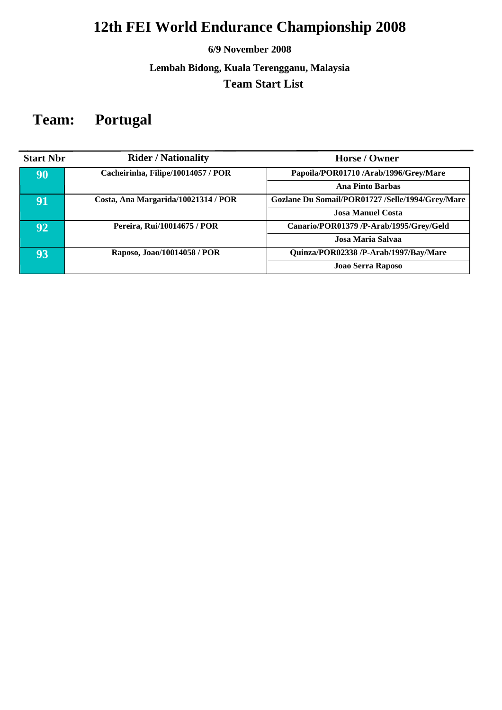### **6/9 November 2008**

### **Lembah Bidong, Kuala Terengganu, Malaysia Team Start List**

## **Team: Portugal**

| <b>Start Nbr</b> | <b>Rider / Nationality</b>          | Horse / Owner                                    |
|------------------|-------------------------------------|--------------------------------------------------|
| 90               | Cacheirinha, Filipe/10014057 / POR  | Papoila/POR01710/Arab/1996/Grey/Mare             |
|                  |                                     | <b>Ana Pinto Barbas</b>                          |
| 91               | Costa, Ana Margarida/10021314 / POR | Gozlane Du Somail/POR01727 /Selle/1994/Grey/Mare |
|                  |                                     | Josa Manuel Costa                                |
| $92^{\prime}$    | Pereira, Rui/10014675 / POR         | Canario/POR01379 /P-Arab/1995/Grey/Geld          |
|                  |                                     | Josa Maria Salvaa                                |
| 93               | Raposo, Joao/10014058 / POR         | Quinza/POR02338 /P-Arab/1997/Bay/Mare            |
|                  |                                     | Joao Serra Raposo                                |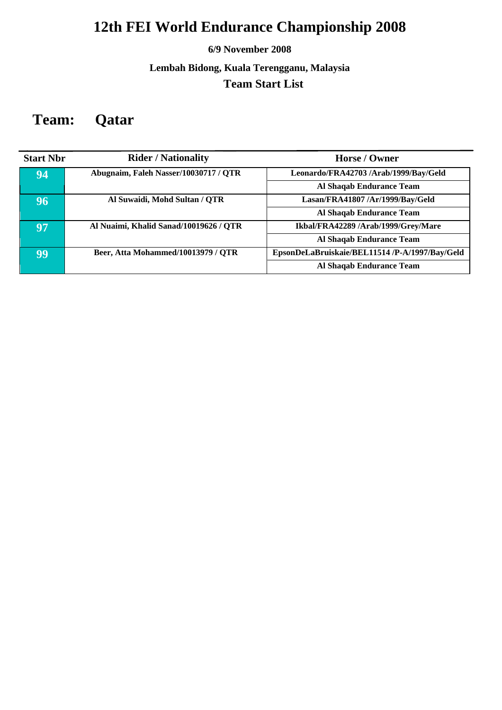### **6/9 November 2008**

### **Lembah Bidong, Kuala Terengganu, Malaysia Team Start List**

## **Team: Qatar**

| <b>Start Nbr</b> | <b>Rider / Nationality</b>             | Horse / Owner                                  |
|------------------|----------------------------------------|------------------------------------------------|
| 94               | Abugnaim, Faleh Nasser/10030717 / QTR  | Leonardo/FRA42703 /Arab/1999/Bay/Geld          |
|                  |                                        | Al Shaqab Endurance Team                       |
| 96               | Al Suwaidi, Mohd Sultan / QTR          | Lasan/FRA41807 /Ar/1999/Bay/Geld               |
|                  |                                        | Al Shaqab Endurance Team                       |
| 97               | Al Nuaimi, Khalid Sanad/10019626 / QTR | Ikbal/FRA42289 /Arab/1999/Grey/Mare            |
|                  |                                        | Al Shaqab Endurance Team                       |
| 99               | Beer, Atta Mohammed/10013979 / QTR     | EpsonDeLaBruiskaie/BEL11514 /P-A/1997/Bay/Geld |
|                  |                                        | Al Shaqab Endurance Team                       |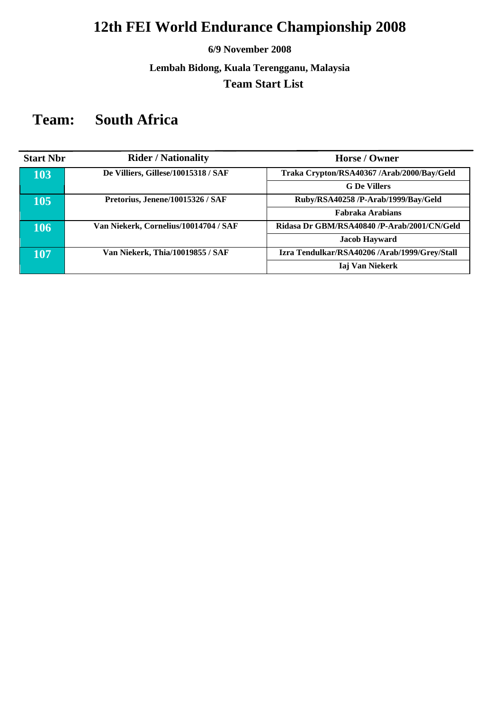### **6/9 November 2008**

**Lembah Bidong, Kuala Terengganu, Malaysia Team Start List** 

## **Team: South Africa**

| <b>Start Nbr</b> | <b>Rider / Nationality</b>            | Horse / Owner                                 |
|------------------|---------------------------------------|-----------------------------------------------|
| 103              | De Villiers, Gillese/10015318 / SAF   | Traka Crypton/RSA40367 /Arab/2000/Bay/Geld    |
|                  |                                       | <b>G</b> De Villers                           |
| 105              | Pretorius, Jenene/10015326 / SAF      | Ruby/RSA40258 /P-Arab/1999/Bay/Geld           |
|                  |                                       | Fabraka Arabians                              |
| 106              | Van Niekerk, Cornelius/10014704 / SAF | Ridasa Dr GBM/RSA40840 /P-Arab/2001/CN/Geld   |
|                  |                                       | <b>Jacob Hayward</b>                          |
| 107              | Van Niekerk, Thia/10019855 / SAF      | Izra Tendulkar/RSA40206 /Arab/1999/Grey/Stall |
|                  |                                       | Iaj Van Niekerk                               |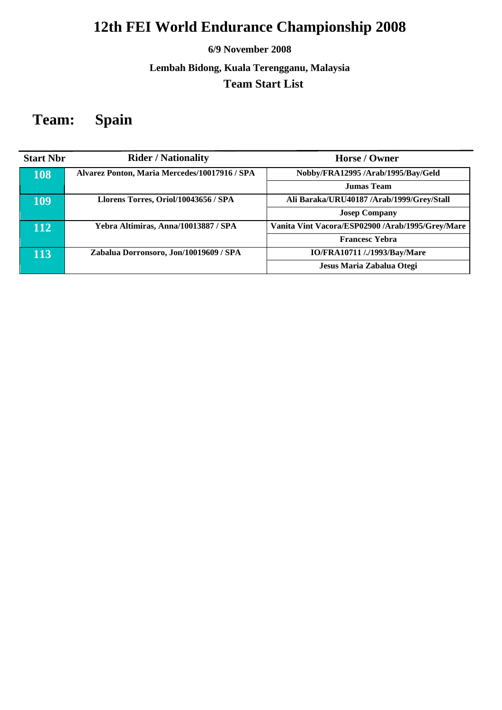### **6/9 November 2008**

### **Lembah Bidong, Kuala Terengganu, Malaysia Team Start List**

## **Team: Spain**

| <b>Start Nbr</b> | <b>Rider / Nationality</b>                    | Horse / Owner                                    |
|------------------|-----------------------------------------------|--------------------------------------------------|
| 108              | Alvarez Ponton, Maria Mercedes/10017916 / SPA | Nobby/FRA12995/Arab/1995/Bay/Geld                |
|                  |                                               | <b>Jumas Team</b>                                |
| 109              | Llorens Torres, Oriol/10043656 / SPA          | Ali Baraka/URU40187 /Arab/1999/Grey/Stall        |
|                  |                                               | <b>Josep Company</b>                             |
| 112              | Yebra Altimiras, Anna/10013887 / SPA          | Vanita Vint Vacora/ESP02900 /Arab/1995/Grey/Mare |
|                  |                                               | <b>Francesc Yebra</b>                            |
| 113              | Zabalua Dorronsoro, Jon/10019609 / SPA        | IO/FRA10711 /./1993/Bay/Mare                     |
|                  |                                               | Jesus Maria Zabalua Otegi                        |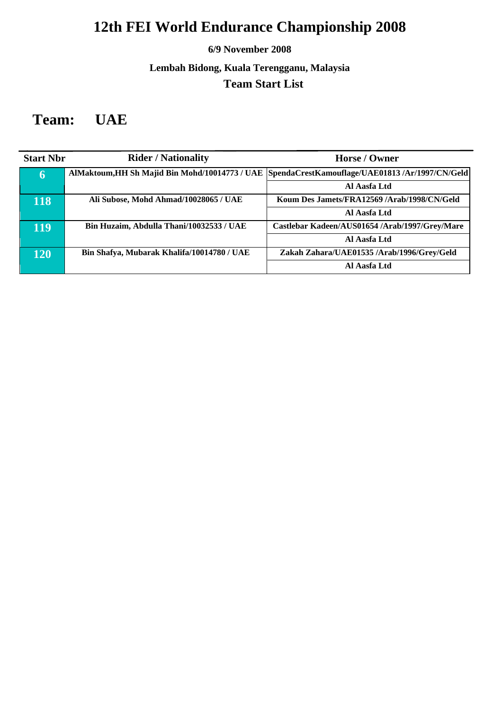### **6/9 November 2008**

### **Lembah Bidong, Kuala Terengganu, Malaysia Team Start List**

## **Team: UAE**

| <b>Start Nbr</b> | <b>Rider / Nationality</b>                 | Horse / Owner                                                                                  |
|------------------|--------------------------------------------|------------------------------------------------------------------------------------------------|
| $\mathbf 6$      |                                            | AlMaktoum, HH Sh Majid Bin Mohd/10014773 / UAE SpendaCrestKamouflage/UAE01813 /Ar/1997/CN/Geld |
|                  |                                            | Al Aasfa Ltd                                                                                   |
| 118              | Ali Subose, Mohd Ahmad/10028065 / UAE      | Koum Des Jamets/FRA12569 /Arab/1998/CN/Geld                                                    |
|                  |                                            | Al Aasfa Ltd                                                                                   |
| 119              | Bin Huzaim, Abdulla Thani/10032533 / UAE   | Castlebar Kadeen/AUS01654 /Arab/1997/Grey/Mare                                                 |
|                  |                                            | Al Aasfa Ltd                                                                                   |
| 120              | Bin Shafya, Mubarak Khalifa/10014780 / UAE | Zakah Zahara/UAE01535 /Arab/1996/Grey/Geld                                                     |
|                  |                                            | Al Aasfa Ltd                                                                                   |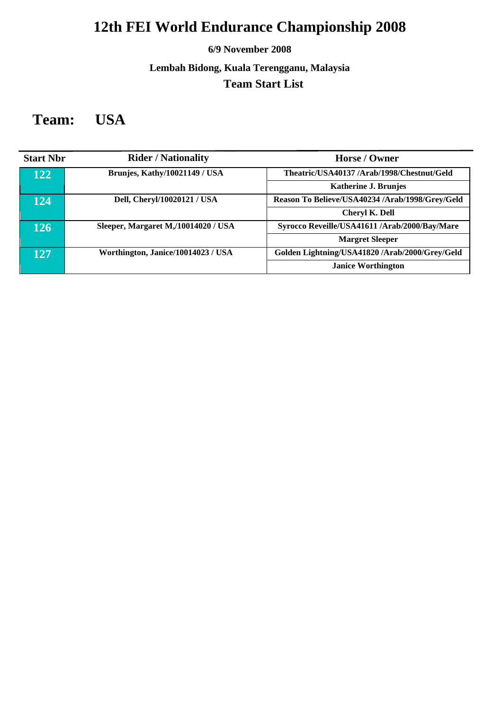### **6/9 November 2008**

### **Lembah Bidong, Kuala Terengganu, Malaysia Team Start List**

## **Team: USA**

| <b>Start Nbr</b> | <b>Rider / Nationality</b>          | Horse / Owner                                   |
|------------------|-------------------------------------|-------------------------------------------------|
| 122              | Brunjes, Kathy/10021149 / USA       | Theatric/USA40137/Arab/1998/Chestnut/Geld       |
|                  |                                     | <b>Katherine J. Brunjes</b>                     |
| 124              | Dell, Cheryl/10020121 / USA         | Reason To Believe/USA40234 /Arab/1998/Grey/Geld |
|                  |                                     | <b>Cheryl K. Dell</b>                           |
| 126              | Sleeper, Margaret M,/10014020 / USA | Syrocco Reveille/USA41611 /Arab/2000/Bay/Mare   |
|                  |                                     | <b>Margret Sleeper</b>                          |
| 127              | Worthington, Janice/10014023 / USA  | Golden Lightning/USA41820 /Arab/2000/Grey/Geld  |
|                  |                                     | <b>Janice Worthington</b>                       |